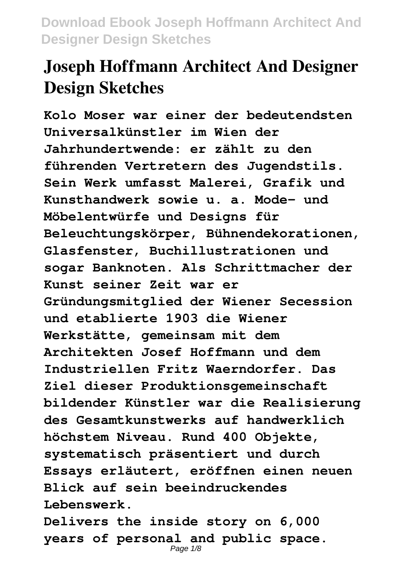# **Joseph Hoffmann Architect And Designer Design Sketches**

**Kolo Moser war einer der bedeutendsten Universalkünstler im Wien der Jahrhundertwende: er zählt zu den führenden Vertretern des Jugendstils. Sein Werk umfasst Malerei, Grafik und Kunsthandwerk sowie u. a. Mode- und Möbelentwürfe und Designs für Beleuchtungskörper, Bühnendekorationen, Glasfenster, Buchillustrationen und sogar Banknoten. Als Schrittmacher der Kunst seiner Zeit war er Gründungsmitglied der Wiener Secession und etablierte 1903 die Wiener Werkstätte, gemeinsam mit dem Architekten Josef Hoffmann und dem Industriellen Fritz Waerndorfer. Das Ziel dieser Produktionsgemeinschaft bildender Künstler war die Realisierung des Gesamtkunstwerks auf handwerklich höchstem Niveau. Rund 400 Objekte, systematisch präsentiert und durch Essays erläutert, eröffnen einen neuen Blick auf sein beeindruckendes Lebenswerk.**

**Delivers the inside story on 6,000 years of personal and public space.** Page 1/8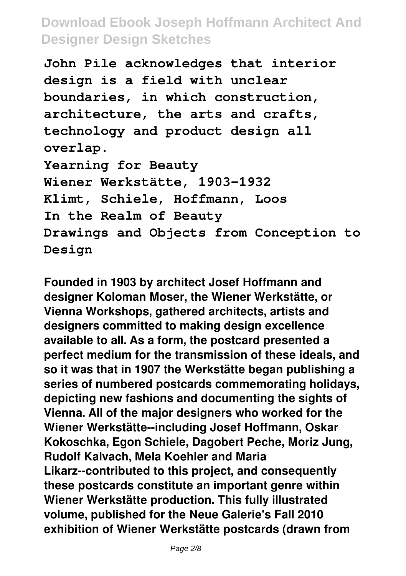**John Pile acknowledges that interior design is a field with unclear boundaries, in which construction, architecture, the arts and crafts, technology and product design all overlap. Yearning for Beauty Wiener Werkstätte, 1903-1932 Klimt, Schiele, Hoffmann, Loos In the Realm of Beauty Drawings and Objects from Conception to Design**

**Founded in 1903 by architect Josef Hoffmann and designer Koloman Moser, the Wiener Werkstätte, or Vienna Workshops, gathered architects, artists and designers committed to making design excellence available to all. As a form, the postcard presented a perfect medium for the transmission of these ideals, and so it was that in 1907 the Werkstätte began publishing a series of numbered postcards commemorating holidays, depicting new fashions and documenting the sights of Vienna. All of the major designers who worked for the Wiener Werkstätte--including Josef Hoffmann, Oskar Kokoschka, Egon Schiele, Dagobert Peche, Moriz Jung, Rudolf Kalvach, Mela Koehler and Maria Likarz--contributed to this project, and consequently these postcards constitute an important genre within Wiener Werkstätte production. This fully illustrated volume, published for the Neue Galerie's Fall 2010 exhibition of Wiener Werkstätte postcards (drawn from**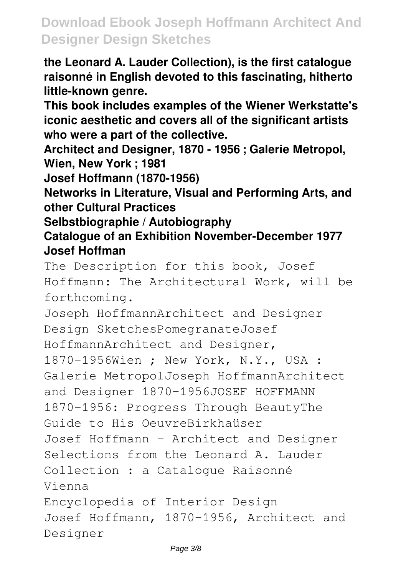**the Leonard A. Lauder Collection), is the first catalogue raisonné in English devoted to this fascinating, hitherto little-known genre.**

**This book includes examples of the Wiener Werkstatte's iconic aesthetic and covers all of the significant artists who were a part of the collective.**

**Architect and Designer, 1870 - 1956 ; Galerie Metropol, Wien, New York ; 1981**

**Josef Hoffmann (1870-1956)**

**Networks in Literature, Visual and Performing Arts, and other Cultural Practices**

**Selbstbiographie / Autobiography**

**Catalogue of an Exhibition November-December 1977 Josef Hoffman**

The Description for this book, Josef Hoffmann: The Architectural Work, will be forthcoming.

Joseph HoffmannArchitect and Designer Design SketchesPomegranateJosef HoffmannArchitect and Designer, 1870-1956Wien ; New York, N.Y., USA : Galerie MetropolJoseph HoffmannArchitect and Designer 1870-1956JOSEF HOFFMANN 1870-1956: Progress Through BeautyThe Guide to His OeuvreBirkhaüser Josef Hoffmann - Architect and Designer Selections from the Leonard A. Lauder Collection : a Catalogue Raisonné Vienna Encyclopedia of Interior Design Josef Hoffmann, 1870-1956, Architect and Designer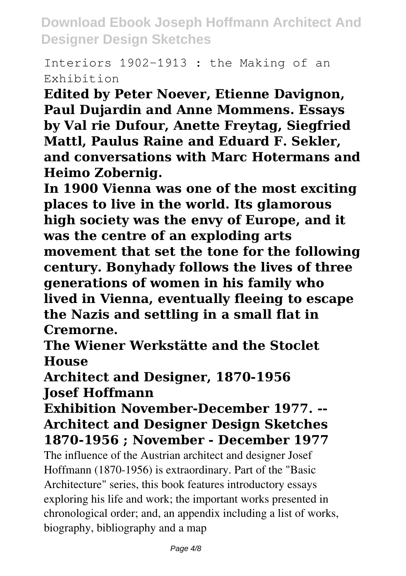Interiors 1902-1913 : the Making of an Exhibition

**Edited by Peter Noever, Etienne Davignon, Paul Dujardin and Anne Mommens. Essays by Val rie Dufour, Anette Freytag, Siegfried Mattl, Paulus Raine and Eduard F. Sekler, and conversations with Marc Hotermans and Heimo Zobernig.**

**In 1900 Vienna was one of the most exciting places to live in the world. Its glamorous high society was the envy of Europe, and it was the centre of an exploding arts movement that set the tone for the following century. Bonyhady follows the lives of three generations of women in his family who lived in Vienna, eventually fleeing to escape the Nazis and settling in a small flat in Cremorne.**

**The Wiener Werkstätte and the Stoclet House**

**Architect and Designer, 1870-1956 Josef Hoffmann**

#### **Exhibition November-December 1977. -- Architect and Designer Design Sketches 1870-1956 ; November - December 1977**

The influence of the Austrian architect and designer Josef Hoffmann (1870-1956) is extraordinary. Part of the "Basic Architecture" series, this book features introductory essays exploring his life and work; the important works presented in chronological order; and, an appendix including a list of works, biography, bibliography and a map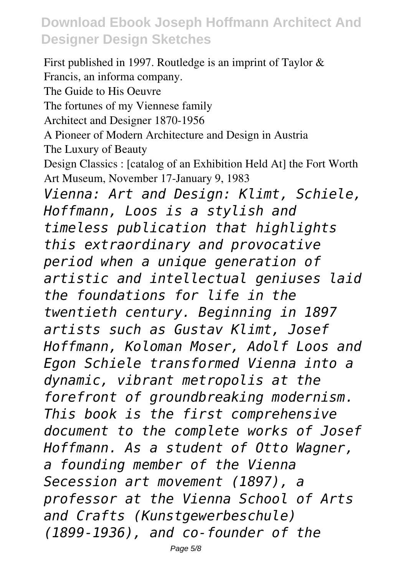First published in 1997. Routledge is an imprint of Taylor & Francis, an informa company. The Guide to His Oeuvre The fortunes of my Viennese family Architect and Designer 1870-1956 A Pioneer of Modern Architecture and Design in Austria The Luxury of Beauty Design Classics : [catalog of an Exhibition Held At] the Fort Worth Art Museum, November 17-January 9, 1983 *Vienna: Art and Design: Klimt, Schiele, Hoffmann, Loos is a stylish and timeless publication that highlights this extraordinary and provocative period when a unique generation of artistic and intellectual geniuses laid the foundations for life in the twentieth century. Beginning in 1897 artists such as Gustav Klimt, Josef Hoffmann, Koloman Moser, Adolf Loos and Egon Schiele transformed Vienna into a dynamic, vibrant metropolis at the forefront of groundbreaking modernism. This book is the first comprehensive document to the complete works of Josef Hoffmann. As a student of Otto Wagner, a founding member of the Vienna Secession art movement (1897), a professor at the Vienna School of Arts and Crafts (Kunstgewerbeschule) (1899-1936), and co-founder of the*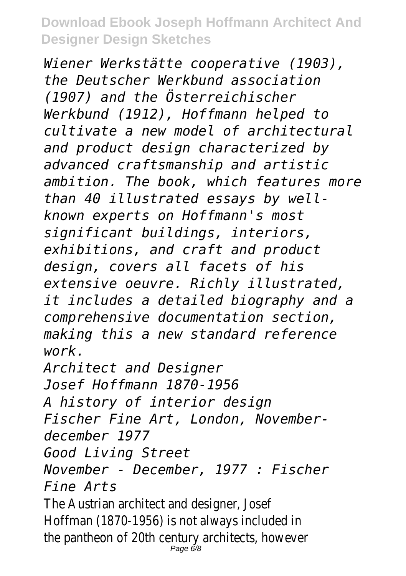*Wiener Werkstätte cooperative (1903), the Deutscher Werkbund association (1907) and the Österreichischer Werkbund (1912), Hoffmann helped to cultivate a new model of architectural and product design characterized by advanced craftsmanship and artistic ambition. The book, which features more than 40 illustrated essays by wellknown experts on Hoffmann's most significant buildings, interiors, exhibitions, and craft and product design, covers all facets of his extensive oeuvre. Richly illustrated, it includes a detailed biography and a comprehensive documentation section, making this a new standard reference work.*

*Architect and Designer Josef Hoffmann 1870-1956 A history of interior design Fischer Fine Art, London, Novemberdecember 1977 Good Living Street November - December, 1977 : Fischer Fine Arts*

The Austrian architect and designer, Josef Hoffman (1870-1956) is not always included in the pantheon of 20th century architects, however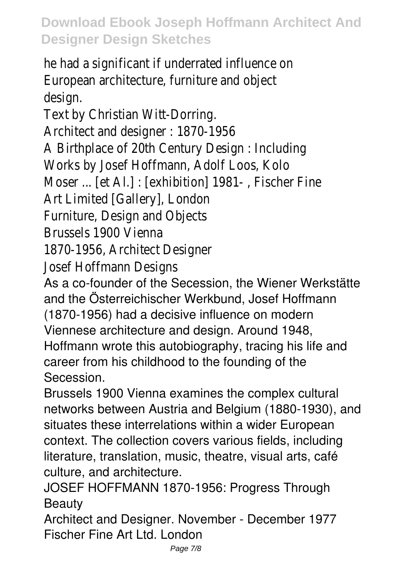he had a significant if underrated influence on European architecture, furniture and object design.

Text by Christian Witt-Dorring. Architect and designer : 1870-1956 A Birthplace of 20th Century Design : Including Works by Josef Hoffmann, Adolf Loos, Kolo Moser ... [et Al.] : [exhibition] 1981- , Fischer Fine Art Limited [Gallery], London Furniture, Design and Objects Brussels 1900 Vienna

1870-1956, Architect Designer

Josef Hoffmann Designs

As a co-founder of the Secession, the Wiener Werkstätte and the Österreichischer Werkbund, Josef Hoffmann (1870-1956) had a decisive influence on modern

Viennese architecture and design. Around 1948,

Hoffmann wrote this autobiography, tracing his life and career from his childhood to the founding of the Secession.

Brussels 1900 Vienna examines the complex cultural networks between Austria and Belgium (1880-1930), and situates these interrelations within a wider European context. The collection covers various fields, including literature, translation, music, theatre, visual arts, café culture, and architecture.

JOSEF HOFFMANN 1870-1956: Progress Through Beauty

Architect and Designer. November - December 1977 Fischer Fine Art Ltd. London